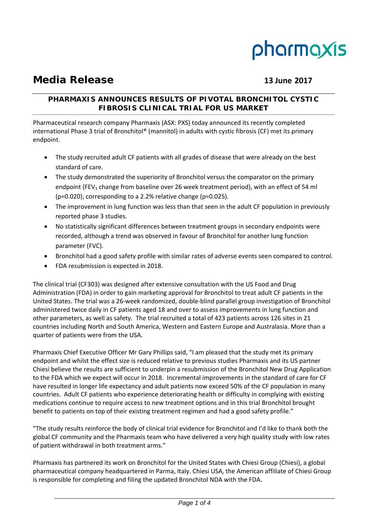# pharmaxis

# **Media Release 13 June 2017**

# **PHARMAXIS ANNOUNCES RESULTS OF PIVOTAL BRONCHITOL CYSTIC FIBROSIS CLINICAL TRIAL FOR US MARKET**

Pharmaceutical research company Pharmaxis (ASX: PXS) today announced its recently completed international Phase 3 trial of Bronchitol® (mannitol) in adults with cystic fibrosis (CF) met its primary endpoint.

- The study recruited adult CF patients with all grades of disease that were already on the best standard of care.
- The study demonstrated the superiority of Bronchitol versus the comparator on the primary endpoint (FEV<sub>1</sub> change from baseline over 26 week treatment period), with an effect of 54 ml (p=0.020), corresponding to a 2.2% relative change (p=0.025).
- The improvement in lung function was less than that seen in the adult CF population in previously reported phase 3 studies.
- No statistically significant differences between treatment groups in secondary endpoints were recorded, although a trend was observed in favour of Bronchitol for another lung function parameter (FVC).
- Bronchitol had a good safety profile with similar rates of adverse events seen compared to control.
- FDA resubmission is expected in 2018.

The clinical trial (CF303) was designed after extensive consultation with the US Food and Drug Administration (FDA) in order to gain marketing approval for Bronchitol to treat adult CF patients in the United States. The trial was a 26‐week randomized, double‐blind parallel group investigation of Bronchitol administered twice daily in CF patients aged 18 and over to assess improvements in lung function and other parameters, as well as safety. The trial recruited a total of 423 patients across 126 sites in 21 countries including North and South America, Western and Eastern Europe and Australasia. More than a quarter of patients were from the USA.

Pharmaxis Chief Executive Officer Mr Gary Phillips said, "I am pleased that the study met its primary endpoint and whilst the effect size is reduced relative to previous studies Pharmaxis and its US partner Chiesi believe the results are sufficient to underpin a resubmission of the Bronchitol New Drug Application to the FDA which we expect will occur in 2018. Incremental improvements in the standard of care for CF have resulted in longer life expectancy and adult patients now exceed 50% of the CF population in many countries. Adult CF patients who experience deteriorating health or difficulty in complying with existing medications continue to require access to new treatment options and in this trial Bronchitol brought benefit to patients on top of their existing treatment regimen and had a good safety profile."

"The study results reinforce the body of clinical trial evidence for Bronchitol and I'd like to thank both the global CF community and the Pharmaxis team who have delivered a very high quality study with low rates of patient withdrawal in both treatment arms."

Pharmaxis has partnered its work on Bronchitol for the United States with Chiesi Group (Chiesi), a global pharmaceutical company headquartered in Parma, Italy. Chiesi USA, the American affiliate of Chiesi Group is responsible for completing and filing the updated Bronchitol NDA with the FDA.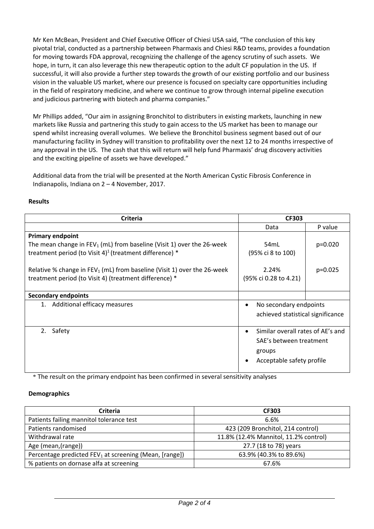Mr Ken McBean, President and Chief Executive Officer of Chiesi USA said, "The conclusion of this key pivotal trial, conducted as a partnership between Pharmaxis and Chiesi R&D teams, provides a foundation for moving towards FDA approval, recognizing the challenge of the agency scrutiny of such assets. We hope, in turn, it can also leverage this new therapeutic option to the adult CF population in the US. If successful, it will also provide a further step towards the growth of our existing portfolio and our business vision in the valuable US market, where our presence is focused on specialty care opportunities including in the field of respiratory medicine, and where we continue to grow through internal pipeline execution and judicious partnering with biotech and pharma companies."

Mr Phillips added, "Our aim in assigning Bronchitol to distributers in existing markets, launching in new markets like Russia and partnering this study to gain access to the US market has been to manage our spend whilst increasing overall volumes. We believe the Bronchitol business segment based out of our manufacturing facility in Sydney will transition to profitability over the next 12 to 24 months irrespective of any approval in the US. The cash that this will return will help fund Pharmaxis' drug discovery activities and the exciting pipeline of assets we have developed."

Additional data from the trial will be presented at the North American Cystic Fibrosis Conference in Indianapolis, Indiana on 2 – 4 November, 2017.

# **Results**

| Criteria                                                                   | <b>CF303</b>                                   |           |
|----------------------------------------------------------------------------|------------------------------------------------|-----------|
|                                                                            | Data                                           | P value   |
| <b>Primary endpoint</b>                                                    |                                                |           |
| The mean change in $FEV_1$ (mL) from baseline (Visit 1) over the 26-week   | 54mL                                           | $p=0.020$ |
| treatment period (to Visit 4) <sup>1</sup> (treatment difference) $*$      | (95% ci 8 to 100)                              |           |
| Relative % change in $FEV_1$ (mL) from baseline (Visit 1) over the 26-week | 2.24%                                          | $p=0.025$ |
| treatment period (to Visit 4) (treatment difference) *                     | (95% ci 0.28 to 4.21)                          |           |
|                                                                            |                                                |           |
| <b>Secondary endpoints</b>                                                 |                                                |           |
| 1. Additional efficacy measures                                            | No secondary endpoints<br>$\bullet$            |           |
|                                                                            | achieved statistical significance              |           |
| Safety<br>2.                                                               | Similar overall rates of AE's and<br>$\bullet$ |           |
|                                                                            | SAE's between treatment                        |           |
|                                                                            | groups                                         |           |
|                                                                            | Acceptable safety profile                      |           |

\* The result on the primary endpoint has been confirmed in several sensitivity analyses

# **Demographics**

| Criteria                                                           | <b>CF303</b>                          |
|--------------------------------------------------------------------|---------------------------------------|
| Patients failing mannitol tolerance test                           | 6.6%                                  |
| Patients randomised                                                | 423 (209 Bronchitol, 214 control)     |
| Withdrawal rate                                                    | 11.8% (12.4% Mannitol, 11.2% control) |
| Age (mean, (range))                                                | 27.7 (18 to 78) years                 |
| Percentage predicted FEV <sub>1</sub> at screening (Mean, [range]) | 63.9% (40.3% to 89.6%)                |
| % patients on dornase alfa at screening                            | 67.6%                                 |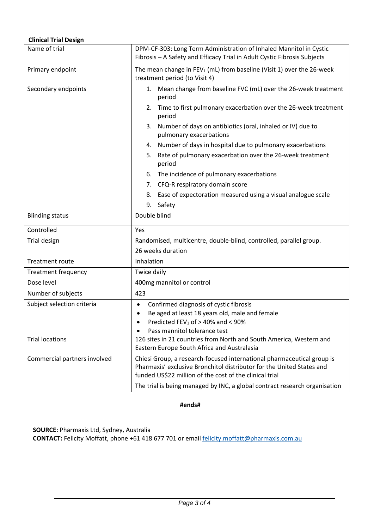# **Clinical Trial Design**

| Name of trial                | DPM-CF-303: Long Term Administration of Inhaled Mannitol in Cystic                                                                                                                                         |  |
|------------------------------|------------------------------------------------------------------------------------------------------------------------------------------------------------------------------------------------------------|--|
|                              | Fibrosis - A Safety and Efficacy Trial in Adult Cystic Fibrosis Subjects                                                                                                                                   |  |
| Primary endpoint             | The mean change in $FEV_1$ (mL) from baseline (Visit 1) over the 26-week                                                                                                                                   |  |
|                              | treatment period (to Visit 4)                                                                                                                                                                              |  |
| Secondary endpoints          | 1. Mean change from baseline FVC (mL) over the 26-week treatment<br>period                                                                                                                                 |  |
|                              | Time to first pulmonary exacerbation over the 26-week treatment<br>2.<br>period                                                                                                                            |  |
|                              | Number of days on antibiotics (oral, inhaled or IV) due to<br>3.<br>pulmonary exacerbations                                                                                                                |  |
|                              | Number of days in hospital due to pulmonary exacerbations<br>4.                                                                                                                                            |  |
|                              | Rate of pulmonary exacerbation over the 26-week treatment<br>5.<br>period                                                                                                                                  |  |
|                              | The incidence of pulmonary exacerbations<br>6.                                                                                                                                                             |  |
|                              | CFQ-R respiratory domain score<br>7.                                                                                                                                                                       |  |
|                              | Ease of expectoration measured using a visual analogue scale<br>8.                                                                                                                                         |  |
|                              | 9.<br>Safety                                                                                                                                                                                               |  |
| <b>Blinding status</b>       | Double blind                                                                                                                                                                                               |  |
| Controlled                   | Yes                                                                                                                                                                                                        |  |
| Trial design                 | Randomised, multicentre, double-blind, controlled, parallel group.                                                                                                                                         |  |
|                              | 26 weeks duration                                                                                                                                                                                          |  |
| <b>Treatment route</b>       | Inhalation                                                                                                                                                                                                 |  |
| <b>Treatment frequency</b>   | Twice daily                                                                                                                                                                                                |  |
| Dose level                   | 400mg mannitol or control                                                                                                                                                                                  |  |
| Number of subjects           | 423                                                                                                                                                                                                        |  |
| Subject selection criteria   | Confirmed diagnosis of cystic fibrosis<br>$\bullet$                                                                                                                                                        |  |
|                              | Be aged at least 18 years old, male and female                                                                                                                                                             |  |
|                              | Predicted $FEV_1$ of $> 40\%$ and $< 90\%$                                                                                                                                                                 |  |
| <b>Trial locations</b>       | Pass mannitol tolerance test<br>126 sites in 21 countries from North and South America, Western and                                                                                                        |  |
|                              | Eastern Europe South Africa and Australasia                                                                                                                                                                |  |
| Commercial partners involved | Chiesi Group, a research-focused international pharmaceutical group is<br>Pharmaxis' exclusive Bronchitol distributor for the United States and<br>funded US\$22 million of the cost of the clinical trial |  |
|                              | The trial is being managed by INC, a global contract research organisation                                                                                                                                 |  |

**#ends#**

**SOURCE:** Pharmaxis Ltd, Sydney, Australia **CONTACT:** Felicity Moffatt, phone +61 418 677 701 or email felicity.moffatt@pharmaxis.com.au